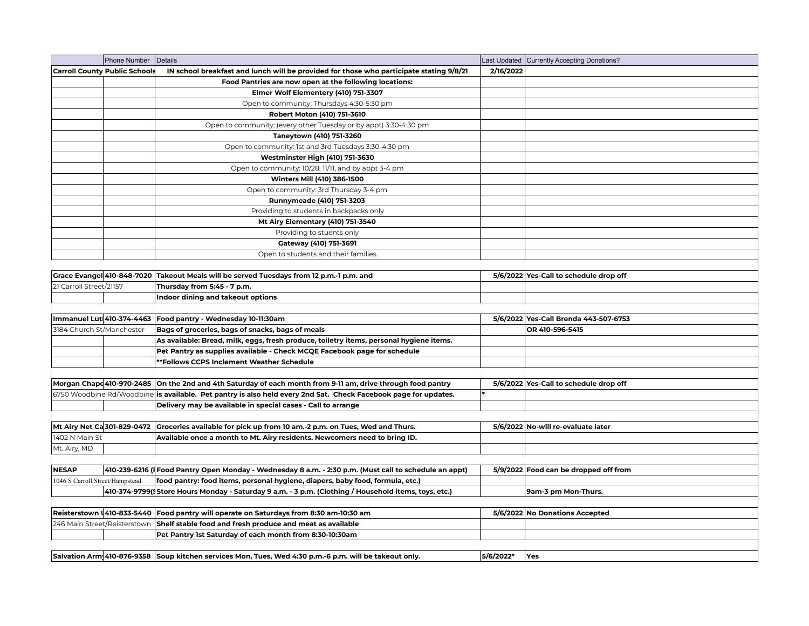|                                 | Phone Number Details                 |                                                                                                                 |           | Last Updated   Currently Accepting Donations? |
|---------------------------------|--------------------------------------|-----------------------------------------------------------------------------------------------------------------|-----------|-----------------------------------------------|
|                                 | <b>Carroll County Public Schools</b> | IN school breakfast and lunch will be provided for those who participate stating 9/8/21                         | 2/16/2022 |                                               |
|                                 |                                      | Food Pantries are now open at the following locations:                                                          |           |                                               |
|                                 |                                      | Elmer Wolf Elementery (410) 751-3307                                                                            |           |                                               |
|                                 |                                      | Open to community: Thursdays 4:30-5:30 pm                                                                       |           |                                               |
|                                 |                                      | Robert Moton (410) 751-3610                                                                                     |           |                                               |
|                                 |                                      | Open to community: (every other Tuesday or by appt) 3:30-4:30 pm                                                |           |                                               |
|                                 |                                      | Taneytown (410) 751-3260                                                                                        |           |                                               |
|                                 |                                      | Open to community: 1st and 3rd Tuesdays 3:30-4:30 pm                                                            |           |                                               |
|                                 |                                      | Westminster High (410) 751-3630                                                                                 |           |                                               |
|                                 |                                      | Open to community: 10/28, 11/11, and by appt 3-4 pm                                                             |           |                                               |
|                                 |                                      | Winters Mill (410) 386-1500                                                                                     |           |                                               |
|                                 |                                      | Open to community: 3rd Thursday 3-4 pm                                                                          |           |                                               |
|                                 |                                      | Runnymeade (410) 751-3203                                                                                       |           |                                               |
|                                 |                                      | Providing to students in backpacks only                                                                         |           |                                               |
|                                 |                                      | <b>Mt Airy Elementary (410) 751-3540</b>                                                                        |           |                                               |
|                                 |                                      | Providing to stuents only                                                                                       |           |                                               |
|                                 |                                      | Gateway (410) 751-3691                                                                                          |           |                                               |
|                                 |                                      | Open to students and their families                                                                             |           |                                               |
|                                 |                                      |                                                                                                                 |           |                                               |
| Grace Evangel 410-848-7020      |                                      | Takeout Meals will be served Tuesdays from 12 p.m.-1 p.m. and                                                   |           | 5/6/2022 Yes-Call to schedule drop off        |
| 21 Carroll Street/21157         |                                      | Thursday from 5:45 - 7 p.m.                                                                                     |           |                                               |
|                                 |                                      | Indoor dining and takeout options                                                                               |           |                                               |
|                                 |                                      |                                                                                                                 |           |                                               |
|                                 | Immanuel Lut 410-374-4463            | Food pantry - Wednesday 10-11:30am                                                                              |           | 5/6/2022 Yes-Call Brenda 443-507-6753         |
| 3184 Church St/Manchester       |                                      | Bags of groceries, bags of snacks, bags of meals                                                                |           | OR 410-596-5415                               |
|                                 |                                      | As available: Bread, milk, eggs, fresh produce, toiletry items, personal hygiene items.                         |           |                                               |
|                                 |                                      | Pet Pantry as supplies available - Check MCQE Facebook page for schedule                                        |           |                                               |
|                                 |                                      | **Follows CCPS Inclement Weather Schedule                                                                       |           |                                               |
|                                 |                                      |                                                                                                                 |           |                                               |
|                                 | Morgan Chape 410-970-2485            | On the 2nd and 4th Saturday of each month from 9-11 am, drive through food pantry                               |           | 5/6/2022 Yes-Call to schedule drop off        |
|                                 |                                      | 6750 Woodbine Rd/Woodbine is available. Pet pantry is also held every 2nd Sat. Check Facebook page for updates. |           |                                               |
|                                 |                                      | Delivery may be available in special cases - Call to arrange                                                    |           |                                               |
|                                 |                                      |                                                                                                                 |           |                                               |
| 1402 N Main St                  | Mt Airy Net Ca 301-829-0472          | Groceries available for pick up from 10 am.-2 p.m. on Tues, Wed and Thurs.                                      |           | 5/6/2022 No-will re-evaluate later            |
|                                 |                                      | Available once a month to Mt. Airy residents. Newcomers need to bring ID.                                       |           |                                               |
| Mt. Airy, MD                    |                                      |                                                                                                                 |           |                                               |
| <b>NESAP</b>                    |                                      | 410-239-6216 (Food Pantry Open Monday - Wednesday 8 a.m. - 2:30 p.m. (Must call to schedule an appt)            |           | 5/9/2022 Food can be dropped off from         |
| 1046 S Carroll Street/Hampstead |                                      | food pantry: food items, personal hygiene, diapers, baby food, formula, etc.)                                   |           |                                               |
|                                 |                                      | 410-374-9799(Store Hours Monday - Saturday 9 a.m. - 3 p.m. (Clothing / Household items, toys, etc.)             |           | 9am-3 pm Mon-Thurs.                           |
|                                 |                                      |                                                                                                                 |           |                                               |
|                                 | Reisterstown 1410-833-5440           | Food pantry will operate on Saturdays from 8:30 am-10:30 am                                                     |           | 5/6/2022 No Donations Accepted                |
| 246 Main Street/Reisterstown    |                                      | Shelf stable food and fresh produce and meat as available                                                       |           |                                               |
|                                 |                                      | Pet Pantry 1st Saturday of each month from 8:30-10:30am                                                         |           |                                               |
|                                 |                                      |                                                                                                                 |           |                                               |
|                                 |                                      | Salvation Arm 410-876-9358 Soup kitchen services Mon, Tues, Wed 4:30 p.m.-6 p.m. will be takeout only.          | 5/6/2022* | Yes                                           |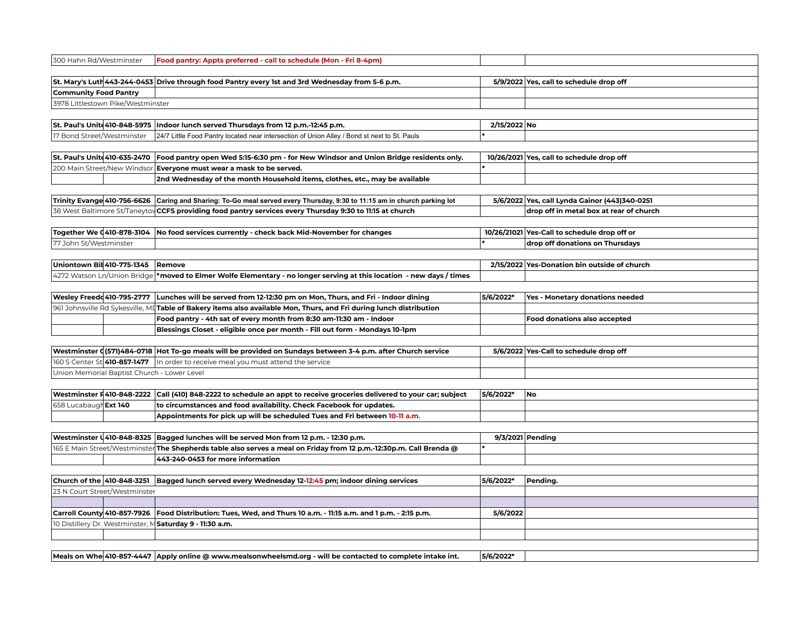| 300 Hahn Rd/Westminster      |                                             | Food pantry: Appts preferred - call to schedule (Mon - Fri 8-4pm)                                                        |              |                                               |
|------------------------------|---------------------------------------------|--------------------------------------------------------------------------------------------------------------------------|--------------|-----------------------------------------------|
|                              |                                             |                                                                                                                          |              |                                               |
|                              |                                             | St. Mary's Luth 443-244-0453 Drive through food Pantry every 1st and 3rd Wednesday from 5-6 p.m.                         |              | 5/9/2022 Yes, call to schedule drop off       |
| <b>Community Food Pantry</b> |                                             |                                                                                                                          |              |                                               |
|                              | 3978 Littlestown Pike/Westminster           |                                                                                                                          |              |                                               |
|                              | St. Paul's Unite 410-848-5975               | Indoor lunch served Thursdays from 12 p.m.-12:45 p.m.                                                                    | 2/15/2022 No |                                               |
| 17 Bond Street/Westminster   |                                             | 24/7 Little Food Pantry located near intersection of Union Alley / Bond st next to St. Pauls                             |              |                                               |
|                              |                                             |                                                                                                                          |              |                                               |
|                              | St. Paul's Unite 410-635-2470               | Food pantry open Wed 5:15-6:30 pm - for New Windsor and Union Bridge residents only.                                     |              | 10/26/2021 Yes, call to schedule drop off     |
|                              | 200 Main Street/New Windsor                 | Everyone must wear a mask to be served.                                                                                  |              |                                               |
|                              |                                             | 2nd Wednesday of the month Household items, clothes, etc., may be available                                              |              |                                               |
|                              |                                             |                                                                                                                          |              |                                               |
|                              |                                             | Trinity Evange 410-756-6626 Caring and Sharing: To-Go meal served every Thursday, 9:30 to 11:15 am in church parking lot |              | 5/6/2022 Yes, call Lynda Gainor (443)340-0251 |
|                              |                                             | 38 West Baltimore St/Taneytov CCFS providing food pantry services every Thursday 9:30 to 11:15 at church                 |              | drop off in metal box at rear of church       |
|                              |                                             |                                                                                                                          |              |                                               |
|                              | Together We (410-878-3104                   | No food services currently - check back Mid-November for changes                                                         |              | 10/26/21021 Yes-Call to schedule drop off or  |
| 77 John St/Westminster       |                                             |                                                                                                                          |              | drop off donations on Thursdays               |
|                              |                                             |                                                                                                                          |              |                                               |
|                              | Uniontown Bil 410-775-1345                  | Remove                                                                                                                   |              | 2/15/2022 Yes-Donation bin outside of church  |
|                              | 4272 Watson Ln/Union Bridge                 | *moved to Elmer Wolfe Elementary - no longer serving at this location  - new days / times                                |              |                                               |
|                              |                                             |                                                                                                                          |              |                                               |
|                              | Wesley Freedd 410-795-2777                  | Lunches will be served from 12-12:30 pm on Mon, Thurs, and Fri - Indoor dining                                           | 5/6/2022*    | Yes - Monetary donations needed               |
|                              | 961 Johnsville Rd Sykesville, MI            | Table of Bakery items also available Mon, Thurs, and Fri during lunch distribution                                       |              |                                               |
|                              |                                             | Food pantry - 4th sat of every month from 8:30 am-11:30 am - Indoor                                                      |              | <b>Food donations also accepted</b>           |
|                              |                                             | Blessings Closet - eligible once per month - Fill out form - Mondays 10-1pm                                              |              |                                               |
|                              |                                             |                                                                                                                          |              |                                               |
|                              |                                             | Westminster (571)484-0718 Hot To-go meals will be provided on Sundays between 3-4 p.m. after Church service              |              | 5/6/2022 Yes-Call to schedule drop off        |
|                              |                                             | In order to receive meal you must attend the service                                                                     |              |                                               |
|                              | Union Memorial Baptist Church - Lower Level |                                                                                                                          |              |                                               |
|                              |                                             |                                                                                                                          |              |                                               |
|                              | Westminster F410-848-2222                   | Call (410) 848-2222 to schedule an appt to receive groceries delivered to your car; subject                              | 5/6/2022*    | <b>No</b>                                     |
| 658 Lucabaugh Ext 140        |                                             | to circumstances and food availability. Check Facebook for updates.                                                      |              |                                               |
|                              |                                             | Appointments for pick up will be scheduled Tues and Fri between 10-11 a.m.                                               |              |                                               |
|                              |                                             |                                                                                                                          |              |                                               |
|                              | Westminster \ 410-848-8325                  | Bagged lunches will be served Mon from 12 p.m. - 12:30 p.m.                                                              |              | 9/3/2021 Pending                              |
|                              | <b>165 E Main Street/Westminster</b>        | The Shepherds table also serves a meal on Friday from 12 p.m.-12:30p.m. Call Brenda @                                    |              |                                               |
|                              |                                             | 443-240-0453 for more information                                                                                        |              |                                               |
|                              | Church of the 410-848-3251                  |                                                                                                                          | 5/6/2022*    |                                               |
|                              |                                             | Bagged lunch served every Wednesday 12-12:45 pm; indoor dining services                                                  |              | Pending.                                      |
|                              | 23 N Court Street/Westminster               |                                                                                                                          |              |                                               |
|                              | Carroll County 410-857-7926                 | Food Distribution: Tues, Wed, and Thurs 10 a.m. - 11:15 a.m. and 1 p.m. - 2:15 p.m.                                      | 5/6/2022     |                                               |
|                              |                                             | 10 Distillery Dr. Westminster, M Saturday 9 - 11:30 a.m.                                                                 |              |                                               |
|                              |                                             |                                                                                                                          |              |                                               |
|                              |                                             |                                                                                                                          |              |                                               |
|                              |                                             | Meals on Whe 410-857-4447 Apply online @ www.mealsonwheelsmd.org - will be contacted to complete intake int.             | 5/6/2022*    |                                               |
|                              |                                             |                                                                                                                          |              |                                               |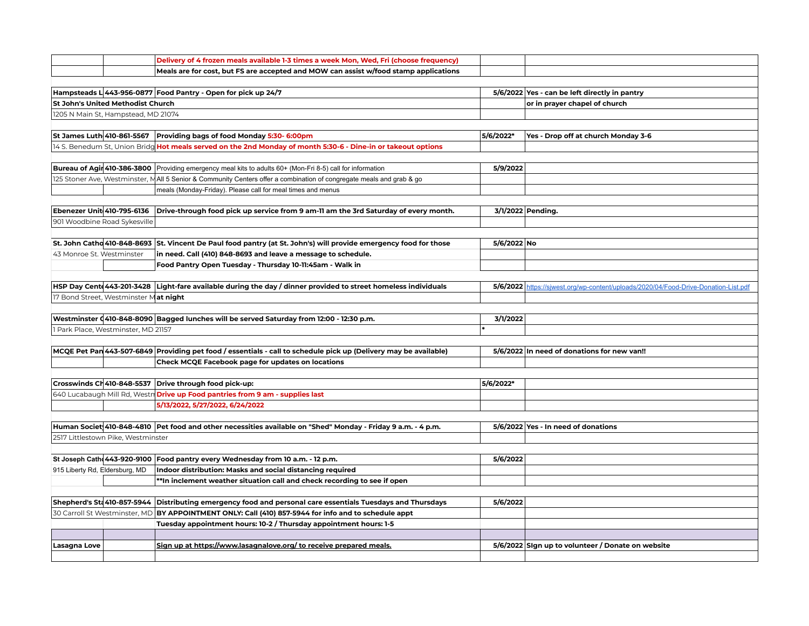|                                |                                          | Delivery of 4 frozen meals available 1-3 times a week Mon, Wed, Fri (choose frequency)                            |             |                                                                            |
|--------------------------------|------------------------------------------|-------------------------------------------------------------------------------------------------------------------|-------------|----------------------------------------------------------------------------|
|                                |                                          | Meals are for cost, but FS are accepted and MOW can assist w/food stamp applications                              |             |                                                                            |
|                                |                                          |                                                                                                                   |             |                                                                            |
|                                |                                          | Hampsteads L 443-956-0877 Food Pantry - Open for pick up 24/7                                                     |             | 5/6/2022 Yes - can be left directly in pantry                              |
|                                | <b>St John's United Methodist Church</b> |                                                                                                                   |             | or in prayer chapel of church                                              |
|                                | 1205 N Main St, Hampstead, MD 21074      |                                                                                                                   |             |                                                                            |
|                                |                                          |                                                                                                                   |             |                                                                            |
|                                | St James Luth 410-861-5567               | Providing bags of food Monday 5:30- 6:00pm                                                                        | 5/6/2022*   | Yes - Drop off at church Monday 3-6                                        |
|                                |                                          | 14 S. Benedum St, Union Bridg Hot meals served on the 2nd Monday of month 5:30-6 - Dine-in or takeout options     |             |                                                                            |
|                                |                                          |                                                                                                                   |             |                                                                            |
|                                | Bureau of Agir 410-386-3800              | Providing emergency meal kits to adults 60+ (Mon-Fri 8-5) call for information                                    | 5/9/2022    |                                                                            |
|                                | 125 Stoner Ave, Westminster, M           | All 5 Senior & Community Centers offer a combination of congregate meals and grab & go                            |             |                                                                            |
|                                |                                          | meals (Monday-Friday). Please call for meal times and menus                                                       |             |                                                                            |
|                                |                                          |                                                                                                                   |             |                                                                            |
|                                | Ebenezer Unit 410-795-6136               | Drive-through food pick up service from 9 am-11 am the 3rd Saturday of every month.                               |             | 3/1/2022 Pending.                                                          |
|                                | 901 Woodbine Road Sykesville             |                                                                                                                   |             |                                                                            |
|                                |                                          |                                                                                                                   |             |                                                                            |
|                                |                                          | St. John Catho 410-848-8693 St. Vincent De Paul food pantry (at St. John's) will provide emergency food for those | 5/6/2022 No |                                                                            |
| 43 Monroe St. Westminster      |                                          | in need. Call (410) 848-8693 and leave a message to schedule.                                                     |             |                                                                            |
|                                |                                          | Food Pantry Open Tuesday - Thursday 10-11:45am - Walk in                                                          |             |                                                                            |
|                                |                                          |                                                                                                                   |             |                                                                            |
|                                |                                          | HSP Day Cent 443-201-3428 Light-fare available during the day / dinner provided to street homeless individuals    | 5/6/2022    | https://sjwest.org/wp-content/uploads/2020/04/Food-Drive-Donation-List.pdf |
|                                | 17 Bond Street, Westminster Mat night    |                                                                                                                   |             |                                                                            |
|                                |                                          |                                                                                                                   |             |                                                                            |
|                                |                                          | Westminster (410-848-8090 Bagged lunches will be served Saturday from 12:00 - 12:30 p.m.                          | 3/1/2022    |                                                                            |
|                                | 1 Park Place, Westminster, MD 21157      |                                                                                                                   |             |                                                                            |
|                                |                                          |                                                                                                                   |             |                                                                            |
|                                |                                          | MCQE Pet Pan 443-507-6849 Providing pet food / essentials - call to schedule pick up (Delivery may be available)  |             | 5/6/2022 In need of donations for new van!!                                |
|                                |                                          | Check MCQE Facebook page for updates on locations                                                                 |             |                                                                            |
|                                |                                          |                                                                                                                   |             |                                                                            |
|                                | Crosswinds CH 410-848-5537               | Drive through food pick-up:                                                                                       | 5/6/2022*   |                                                                            |
|                                | 640 Lucabaugh Mill Rd, Westn             | Drive up Food pantries from 9 am - supplies last                                                                  |             |                                                                            |
|                                |                                          | 5/13/2022, 5/27/2022, 6/24/2022                                                                                   |             |                                                                            |
|                                |                                          |                                                                                                                   |             |                                                                            |
|                                |                                          | Human Societ 410-848-4810 Pet food and other necessities available on "Shed" Monday - Friday 9 a.m. - 4 p.m.      |             | 5/6/2022 Yes - In need of donations                                        |
|                                | 2517 Littlestown Pike, Westminster       |                                                                                                                   |             |                                                                            |
|                                |                                          |                                                                                                                   |             |                                                                            |
|                                | St Joseph Cath 443-920-9100              | Food pantry every Wednesday from 10 a.m. - 12 p.m.                                                                | 5/6/2022    |                                                                            |
| 915 Liberty Rd, Eldersburg, MD |                                          | Indoor distribution: Masks and social distancing required                                                         |             |                                                                            |
|                                |                                          | **In inclement weather situation call and check recording to see if open                                          |             |                                                                            |
|                                |                                          |                                                                                                                   |             |                                                                            |
|                                | Shepherd's Sta 410-857-5944              | Distributing emergency food and personal care essentials Tuesdays and Thursdays                                   | 5/6/2022    |                                                                            |
|                                | 30 Carroll St Westminster, MD            | BY APPOINTMENT ONLY: Call (410) 857-5944 for info and to schedule appt                                            |             |                                                                            |
|                                |                                          | Tuesday appointment hours: 10-2 / Thursday appointment hours: 1-5                                                 |             |                                                                            |
|                                |                                          |                                                                                                                   |             |                                                                            |
| Lasagna Love                   |                                          | Sign up at https://www.lasagnalove.org/ to receive prepared meals.                                                |             | 5/6/2022 Sign up to volunteer / Donate on website                          |
|                                |                                          |                                                                                                                   |             |                                                                            |